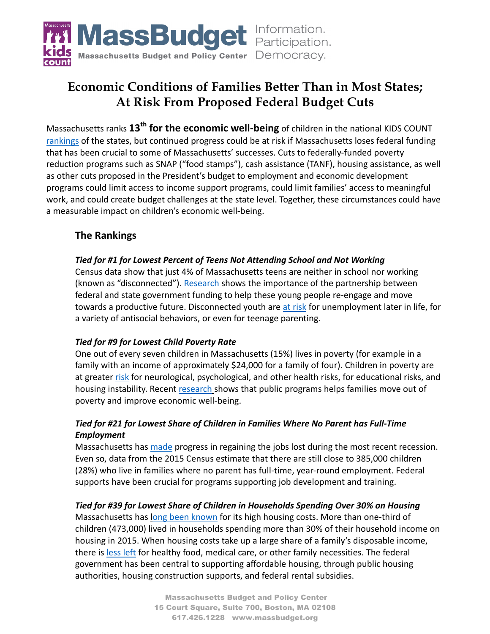

# **Economic Conditions of Families Better Than in Most States; At Risk From Proposed Federal Budget Cuts**

Massachusetts ranks  $13^{th}$  for the economic well-being of children in the national KIDS COUNT rankings of the states, but continued progress could be at risk if Massachusetts loses federal funding that has been crucial to some of Massachusetts' successes. Cuts to federally-funded poverty reduction programs such as SNAP ("food stamps"), cash assistance (TANF), housing assistance, as well as other cuts proposed in the President's budget to employment and economic development programs could limit access to income support programs, could limit families' access to meaningful work, and could create budget challenges at the state level. Together, these circumstances could have a measurable impact on children's economic well-being.

### **The Rankings**

#### *Tied for #1 for Lowest Percent of Teens Not Attending School and Not Working*

Census data show that just 4% of Massachusetts teens are neither in school nor working (known as "disconnected"). Research shows the importance of the partnership between federal and state government funding to help these young people re-engage and move towards a productive future. Disconnected youth are at risk for unemployment later in life, for a variety of antisocial behaviors, or even for teenage parenting.

#### *Tied for #9 for Lowest Child Poverty Rate*

One out of every seven children in Massachusetts (15%) lives in poverty (for example in a family with an income of approximately \$24,000 for a family of four). Children in poverty are at greater risk for neurological, psychological, and other health risks, for educational risks, and housing instability. Recent research shows that public programs helps families move out of poverty and improve economic well-being.

#### Tied for #21 for Lowest Share of Children in Families Where No Parent has Full-Time *Employment*

Massachusetts has made progress in regaining the jobs lost during the most recent recession. Even so, data from the 2015 Census estimate that there are still close to 385,000 children (28%) who live in families where no parent has full-time, year-round employment. Federal supports have been crucial for programs supporting job development and training.

#### *Tied for #39 for Lowest Share of Children in Households Spending Over 30% on Housing*

Massachusetts has long been known for its high housing costs. More than one-third of children (473,000) lived in households spending more than 30% of their household income on housing in 2015. When housing costs take up a large share of a family's disposable income, there is less left for healthy food, medical care, or other family necessities. The federal government has been central to supporting affordable housing, through public housing authorities, housing construction supports, and federal rental subsidies.